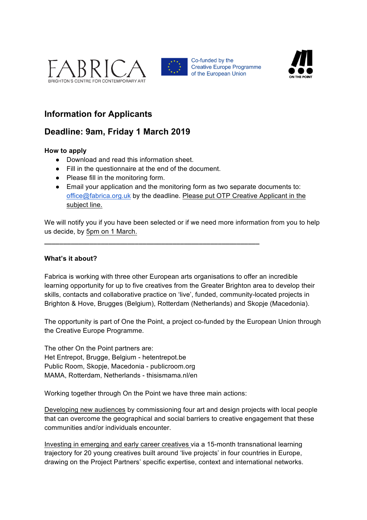



Co-funded by the **Creative Europe Programme** of the European Union



# **Information for Applicants**

# **Deadline: 9am, Friday 1 March 2019**

## **How to apply**

- Download and read this information sheet.
- Fill in the questionnaire at the end of the document.

**\_\_\_\_\_\_\_\_\_\_\_\_\_\_\_\_\_\_\_\_\_\_\_\_\_\_\_\_\_\_\_\_\_\_\_\_\_\_\_\_\_\_\_\_\_\_\_\_\_\_\_\_\_\_\_\_\_**

- Please fill in the monitoring form.
- Email your application and the monitoring form as two separate documents to: office@fabrica.org.uk by the deadline. Please put OTP Creative Applicant in the subject line.

We will notify you if you have been selected or if we need more information from you to help us decide, by 5pm on 1 March.

### **What's it about?**

Fabrica is working with three other European arts organisations to offer an incredible learning opportunity for up to five creatives from the Greater Brighton area to develop their skills, contacts and collaborative practice on 'live', funded, community-located projects in Brighton & Hove, Brugges (Belgium), Rotterdam (Netherlands) and Skopje (Macedonia).

The opportunity is part of One the Point, a project co-funded by the European Union through the Creative Europe Programme.

The other On the Point partners are: Het Entrepot, Brugge, Belgium - hetentrepot.be Public Room, Skopje, Macedonia - publicroom.org MAMA, Rotterdam, Netherlands - thisismama.nl/en

Working together through On the Point we have three main actions:

Developing new audiences by commissioning four art and design projects with local people that can overcome the geographical and social barriers to creative engagement that these communities and/or individuals encounter.

Investing in emerging and early career creatives via a 15-month transnational learning trajectory for 20 young creatives built around 'live projects' in four countries in Europe, drawing on the Project Partners' specific expertise, context and international networks.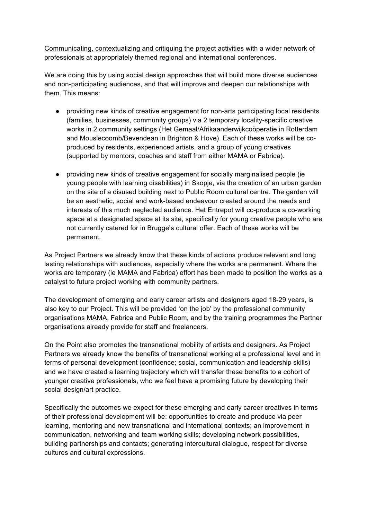Communicating, contextualizing and critiquing the project activities with a wider network of professionals at appropriately themed regional and international conferences.

We are doing this by using social design approaches that will build more diverse audiences and non-participating audiences, and that will improve and deepen our relationships with them. This means:

- providing new kinds of creative engagement for non-arts participating local residents (families, businesses, community groups) via 2 temporary locality-specific creative works in 2 community settings (Het Gemaal/Afrikaanderwijkcoöperatie in Rotterdam and Mouslecoomb/Bevendean in Brighton & Hove). Each of these works will be coproduced by residents, experienced artists, and a group of young creatives (supported by mentors, coaches and staff from either MAMA or Fabrica).
- providing new kinds of creative engagement for socially marginalised people (ie young people with learning disabilities) in Skopje, via the creation of an urban garden on the site of a disused building next to Public Room cultural centre. The garden will be an aesthetic, social and work-based endeavour created around the needs and interests of this much neglected audience. Het Entrepot will co-produce a co-working space at a designated space at its site, specifically for young creative people who are not currently catered for in Brugge's cultural offer. Each of these works will be permanent.

As Project Partners we already know that these kinds of actions produce relevant and long lasting relationships with audiences, especially where the works are permanent. Where the works are temporary (ie MAMA and Fabrica) effort has been made to position the works as a catalyst to future project working with community partners.

The development of emerging and early career artists and designers aged 18-29 years, is also key to our Project. This will be provided 'on the job' by the professional community organisations MAMA, Fabrica and Public Room, and by the training programmes the Partner organisations already provide for staff and freelancers.

On the Point also promotes the transnational mobility of artists and designers. As Project Partners we already know the benefits of transnational working at a professional level and in terms of personal development (confidence; social, communication and leadership skills) and we have created a learning trajectory which will transfer these benefits to a cohort of younger creative professionals, who we feel have a promising future by developing their social design/art practice.

Specifically the outcomes we expect for these emerging and early career creatives in terms of their professional development will be: opportunities to create and produce via peer learning, mentoring and new transnational and international contexts; an improvement in communication, networking and team working skills; developing network possibilities, building partnerships and contacts; generating intercultural dialogue, respect for diverse cultures and cultural expressions.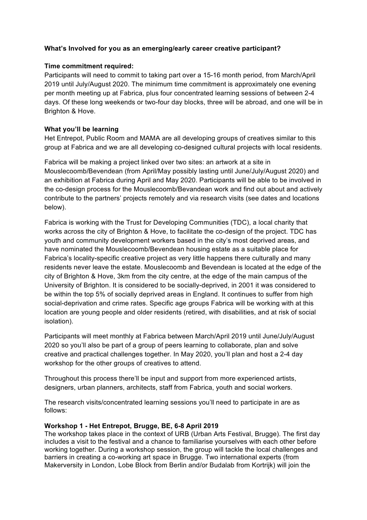## **What's Involved for you as an emerging/early career creative participant?**

### **Time commitment required:**

Participants will need to commit to taking part over a 15-16 month period, from March/April 2019 until July/August 2020. The minimum time commitment is approximately one evening per month meeting up at Fabrica, plus four concentrated learning sessions of between 2-4 days. Of these long weekends or two-four day blocks, three will be abroad, and one will be in Brighton & Hove.

### **What you'll be learning**

Het Entrepot, Public Room and MAMA are all developing groups of creatives similar to this group at Fabrica and we are all developing co-designed cultural projects with local residents.

Fabrica will be making a project linked over two sites: an artwork at a site in Mouslecoomb/Bevendean (from April/May possibly lasting until June/July/August 2020) and an exhibition at Fabrica during April and May 2020. Participants will be able to be involved in the co-design process for the Mouslecoomb/Bevandean work and find out about and actively contribute to the partners' projects remotely and via research visits (see dates and locations below).

Fabrica is working with the Trust for Developing Communities (TDC), a local charity that works across the city of Brighton & Hove, to facilitate the co-design of the project. TDC has youth and community development workers based in the city's most deprived areas, and have nominated the Mouslecoomb/Bevendean housing estate as a suitable place for Fabrica's locality-specific creative project as very little happens there culturally and many residents never leave the estate. Mouslecoomb and Bevendean is located at the edge of the city of Brighton & Hove, 3km from the city centre, at the edge of the main campus of the University of Brighton. It is considered to be socially-deprived, in 2001 it was considered to be within the top 5% of socially deprived areas in England. It continues to suffer from high social-deprivation and crime rates. Specific age groups Fabrica will be working with at this location are young people and older residents (retired, with disabilities, and at risk of social isolation).

Participants will meet monthly at Fabrica between March/April 2019 until June/July/August 2020 so you'll also be part of a group of peers learning to collaborate, plan and solve creative and practical challenges together. In May 2020, you'll plan and host a 2-4 day workshop for the other groups of creatives to attend.

Throughout this process there'll be input and support from more experienced artists, designers, urban planners, architects, staff from Fabrica, youth and social workers.

The research visits/concentrated learning sessions you'll need to participate in are as follows:

### **Workshop 1 - Het Entrepot, Brugge, BE, 6-8 April 2019**

The workshop takes place in the context of URB (Urban Arts Festival, Brugge). The first day includes a visit to the festival and a chance to familiarise yourselves with each other before working together. During a workshop session, the group will tackle the local challenges and barriers in creating a co-working art space in Brugge. Two international experts (from Makerversity in London, Lobe Block from Berlin and/or Budalab from Kortrijk) will join the